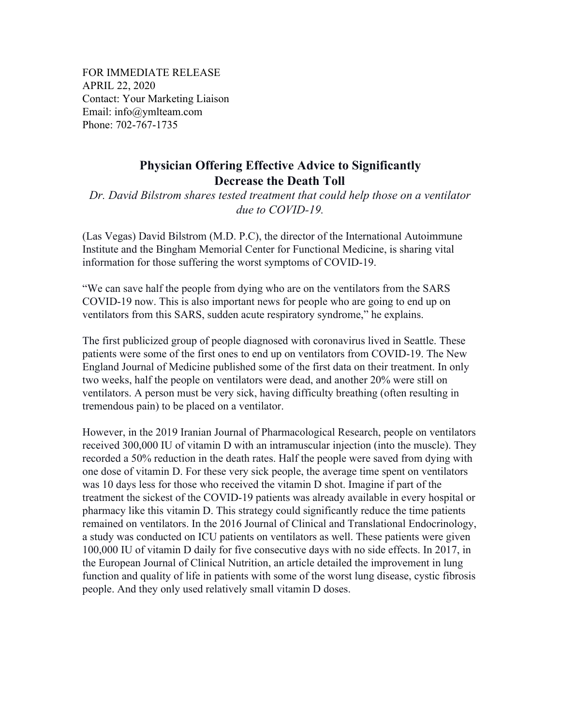FOR IMMEDIATE RELEASE APRIL 22, 2020 Contact: Your Marketing Liaison Email: info@ymlteam.com Phone: 702-767-1735

## **Physician Offering Effective Advice to Significantly Decrease the Death Toll**

*Dr. David Bilstrom shares tested treatment that could help those on a ventilator due to COVID-19.*

(Las Vegas) David Bilstrom (M.D. P.C), the director of the International Autoimmune Institute and the Bingham Memorial Center for Functional Medicine, is sharing vital information for those suffering the worst symptoms of COVID-19.

"We can save half the people from dying who are on the ventilators from the SARS COVID-19 now. This is also important news for people who are going to end up on ventilators from this SARS, sudden acute respiratory syndrome," he explains.

The first publicized group of people diagnosed with coronavirus lived in Seattle. These patients were some of the first ones to end up on ventilators from COVID-19. The New England Journal of Medicine published some of the first data on their treatment. In only two weeks, half the people on ventilators were dead, and another 20% were still on ventilators. A person must be very sick, having difficulty breathing (often resulting in tremendous pain) to be placed on a ventilator.

However, in the 2019 Iranian Journal of Pharmacological Research, people on ventilators received 300,000 IU of vitamin D with an intramuscular injection (into the muscle). They recorded a 50% reduction in the death rates. Half the people were saved from dying with one dose of vitamin D. For these very sick people, the average time spent on ventilators was 10 days less for those who received the vitamin D shot. Imagine if part of the treatment the sickest of the COVID-19 patients was already available in every hospital or pharmacy like this vitamin D. This strategy could significantly reduce the time patients remained on ventilators. In the 2016 Journal of Clinical and Translational Endocrinology, a study was conducted on ICU patients on ventilators as well. These patients were given 100,000 IU of vitamin D daily for five consecutive days with no side effects. In 2017, in the European Journal of Clinical Nutrition, an article detailed the improvement in lung function and quality of life in patients with some of the worst lung disease, cystic fibrosis people. And they only used relatively small vitamin D doses.